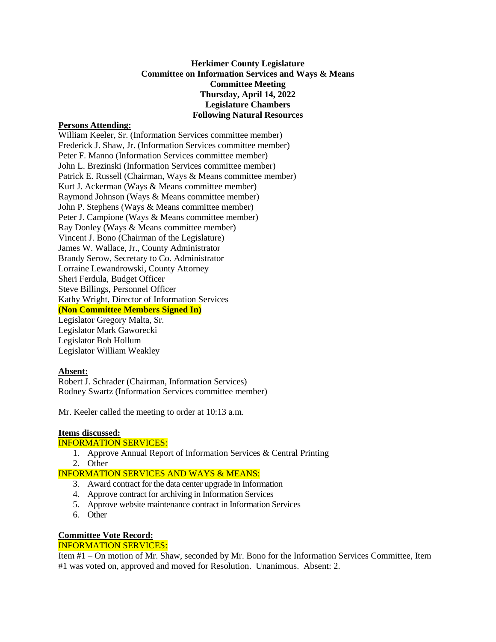## **Herkimer County Legislature Committee on Information Services and Ways & Means Committee Meeting Thursday, April 14, 2022 Legislature Chambers Following Natural Resources**

#### **Persons Attending:**

William Keeler, Sr. (Information Services committee member) Frederick J. Shaw, Jr. (Information Services committee member) Peter F. Manno (Information Services committee member) John L. Brezinski (Information Services committee member) Patrick E. Russell (Chairman, Ways & Means committee member) Kurt J. Ackerman (Ways & Means committee member) Raymond Johnson (Ways & Means committee member) John P. Stephens (Ways & Means committee member) Peter J. Campione (Ways & Means committee member) Ray Donley (Ways & Means committee member) Vincent J. Bono (Chairman of the Legislature) James W. Wallace, Jr., County Administrator Brandy Serow, Secretary to Co. Administrator Lorraine Lewandrowski, County Attorney Sheri Ferdula, Budget Officer Steve Billings, Personnel Officer Kathy Wright, Director of Information Services **(Non Committee Members Signed In)** Legislator Gregory Malta, Sr. Legislator Mark Gaworecki Legislator Bob Hollum Legislator William Weakley

## **Absent:**

Robert J. Schrader (Chairman, Information Services) Rodney Swartz (Information Services committee member)

Mr. Keeler called the meeting to order at 10:13 a.m.

## **Items discussed:**

#### INFORMATION SERVICES:

- 1. Approve Annual Report of Information Services & Central Printing
- 2. Other

#### INFORMATION SERVICES AND WAYS & MEANS:

- 3. Award contract for the data center upgrade in Information
- 4. Approve contract for archiving in Information Services
- 5. Approve website maintenance contract in Information Services
- 6. Other

# **Committee Vote Record:**

# INFORMATION SERVICES:

Item #1 – On motion of Mr. Shaw, seconded by Mr. Bono for the Information Services Committee, Item #1 was voted on, approved and moved for Resolution. Unanimous. Absent: 2.